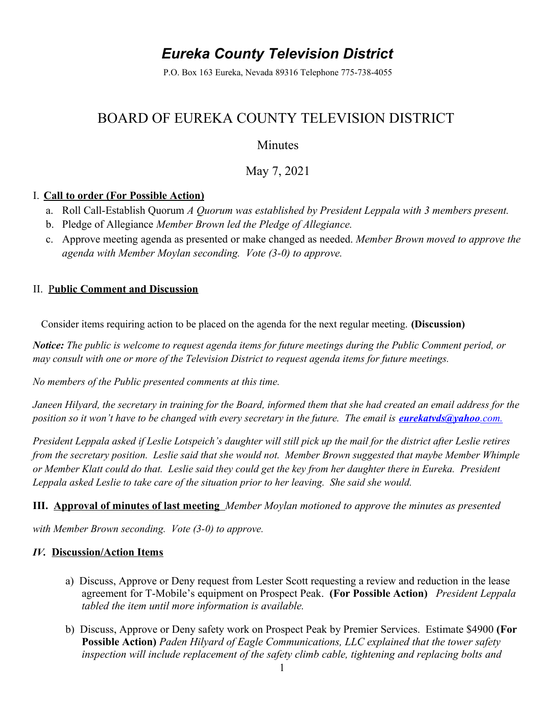# *Eureka County Television District*

P.O. Box 163 Eureka, Nevada 89316 Telephone 775-738-4055

## BOARD OF EUREKA COUNTY TELEVISION DISTRICT

### Minutes

### May 7, 2021

#### I. **Call to order (For Possible Action)**

- a. Roll Call-Establish Quorum *A Quorum was established by President Leppala with 3 members present.*
- b. Pledge of Allegiance *Member Brown led the Pledge of Allegiance.*
- c. Approve meeting agenda as presented or make changed as needed. *Member Brown moved to approve the agenda with Member Moylan seconding. Vote (3-0) to approve.*

#### II. P**ublic Comment and Discussion**

Consider items requiring action to be placed on the agenda for the next regular meeting. **(Discussion)** 

*Notice: The public is welcome to request agenda items for future meetings during the Public Comment period, or may consult with one or more of the Television District to request agenda items for future meetings.*

*No members of the Public presented comments at this time.* 

*Janeen Hilyard, the secretary in training for the Board, informed them that she had created an email address for the position so it won't have to be changed with every secretary in the future. The email is <i>[eurekatvds@yahoo](mailto:eurekatvds@yahoo.com.).com.* 

*President Leppala asked if Leslie Lotspeich's daughter will still pick up the mail for the district after Leslie retires from the secretary position. Leslie said that she would not. Member Brown suggested that maybe Member Whimple or Member Klatt could do that. Leslie said they could get the key from her daughter there in Eureka. President Leppala asked Leslie to take care of the situation prior to her leaving. She said she would.* 

#### **III. Approval of minutes of last meeting** *Member Moylan motioned to approve the minutes as presented*

*with Member Brown seconding. Vote (3-0) to approve.* 

#### *IV.* **Discussion/Action Items**

- a)Discuss, Approve or Deny request from Lester Scott requesting a review and reduction in the lease agreement for T-Mobile's equipment on Prospect Peak. **(For Possible Action)** *President Leppala tabled the item until more information is available.*
- b)Discuss, Approve or Deny safety work on Prospect Peak by Premier Services. Estimate \$4900 **(For Possible Action)** *Paden Hilyard of Eagle Communications, LLC explained that the tower safety*  inspection will include replacement of the safety climb cable, tightening and replacing bolts and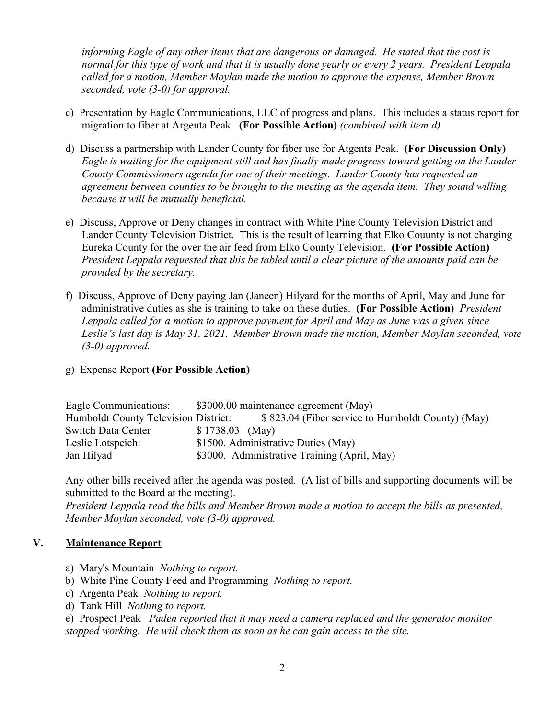*informing Eagle of any other items that are dangerous or damaged. He stated that the cost is normal for this type of work and that it is usually done yearly or every 2 years. President Leppala called for a motion, Member Moylan made the motion to approve the expense, Member Brown seconded, vote (3-0) for approval.* 

- c)Presentation by Eagle Communications, LLC of progress and plans. This includes a status report for migration to fiber at Argenta Peak. **(For Possible Action)** *(combined with item d)*
- d)Discuss a partnership with Lander County for fiber use for Atgenta Peak. **(For Discussion Only)**  *Eagle is waiting for the equipment still and has finally made progress toward getting on the Lander County Commissioners agenda for one of their meetings. Lander County has requested an agreement between counties to be brought to the meeting as the agenda item. They sound willing because it will be mutually beneficial.*
- e)Discuss, Approve or Deny changes in contract with White Pine County Television District and Lander County Television District.This is the result of learning that Elko Couunty is not charging Eureka County for the over the air feed from Elko County Television. **(For Possible Action)** *President Leppala requested that this be tabled until a clear picture of the amounts paid can be provided by the secretary.*
- f) Discuss, Approve of Deny paying Jan (Janeen) Hilyard for the months of April, May and June for administrative duties as she is training to take on these duties. **(For Possible Action)** *President Leppala called for a motion to approve payment for April and May as June was a given since Leslie's last day is May 31, 2021. Member Brown made the motion, Member Moylan seconded, vote (3-0) approved.*
- g)Expense Report **(For Possible Action)**

| Eagle Communications:                |                  | \$3000.00 maintenance agreement (May)             |
|--------------------------------------|------------------|---------------------------------------------------|
| Humboldt County Television District: |                  | \$823.04 (Fiber service to Humboldt County) (May) |
| <b>Switch Data Center</b>            | $$1738.03$ (May) |                                                   |
| Leslie Lotspeich:                    |                  | \$1500. Administrative Duties (May)               |
| Jan Hilyad                           |                  | \$3000. Administrative Training (April, May)      |

Any other bills received after the agenda was posted. (A list of bills and supporting documents will be submitted to the Board at the meeting).

*President Leppala read the bills and Member Brown made a motion to accept the bills as presented, Member Moylan seconded, vote (3-0) approved.*

#### **V. Maintenance Report**

- a) Mary's Mountain *Nothing to report.*
- b) White Pine County Feed and Programming *Nothing to report.*
- c) Argenta Peak *Nothing to report.*
- d) Tank Hill *Nothing to report.*

e) Prospect Peak *Paden reported that it may need a camera replaced and the generator monitor stopped working. He will check them as soon as he can gain access to the site.*